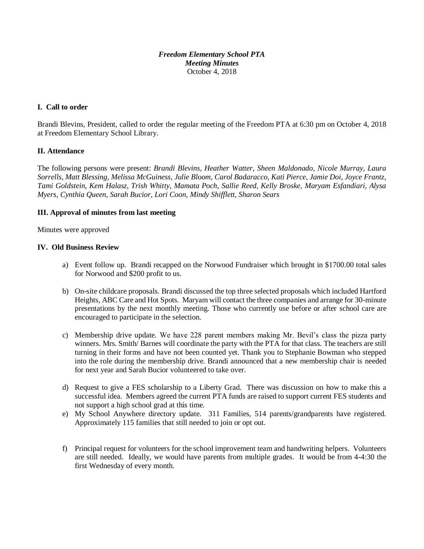## *Freedom Elementary School PTA Meeting Minutes* October 4, 2018

# **I. Call to order**

Brandi Blevins, President, called to order the regular meeting of the Freedom PTA at 6:30 pm on October 4, 2018 at Freedom Elementary School Library.

## **II. Attendance**

The following persons were present: *Brandi Blevins, Heather Watter, Sheen Maldonado, Nicole Murray, Laura Sorrells, Matt Blessing, Melissa McGuiness, Julie Bloom, Carol Badaracco, Kati Pierce, Jamie Doi, Joyce Frantz, Tami Goldstein, Kem Halasz, Trish Whitty, Mamata Poch, Sallie Reed, Kelly Broske, Maryam Esfandiari, Alysa Myers, Cynthia Queen, Sarah Bucior, Lori Coon, Mindy Shifflett, Sharon Sears*

## **III. Approval of minutes from last meeting**

Minutes were approved

## **IV. Old Business Review**

- a) Event follow up. Brandi recapped on the Norwood Fundraiser which brought in \$1700.00 total sales for Norwood and \$200 profit to us.
- b) On-site childcare proposals. Brandi discussed the top three selected proposals which included Hartford Heights, ABC Care and Hot Spots. Maryam will contact the three companies and arrange for 30-minute presentations by the next monthly meeting. Those who currently use before or after school care are encouraged to participate in the selection.
- c) Membership drive update. We have 228 parent members making Mr. Bevil's class the pizza party winners. Mrs. Smith/Barnes will coordinate the party with the PTA for that class. The teachers are still turning in their forms and have not been counted yet. Thank you to Stephanie Bowman who stepped into the role during the membership drive. Brandi announced that a new membership chair is needed for next year and Sarah Bucior volunteered to take over.
- d) Request to give a FES scholarship to a Liberty Grad. There was discussion on how to make this a successful idea. Members agreed the current PTA funds are raised to support current FES students and not support a high school grad at this time.
- e) My School Anywhere directory update. 311 Families, 514 parents/grandparents have registered. Approximately 115 families that still needed to join or opt out.
- f) Principal request for volunteers for the school improvement team and handwriting helpers. Volunteers are still needed. Ideally, we would have parents from multiple grades. It would be from 4-4:30 the first Wednesday of every month.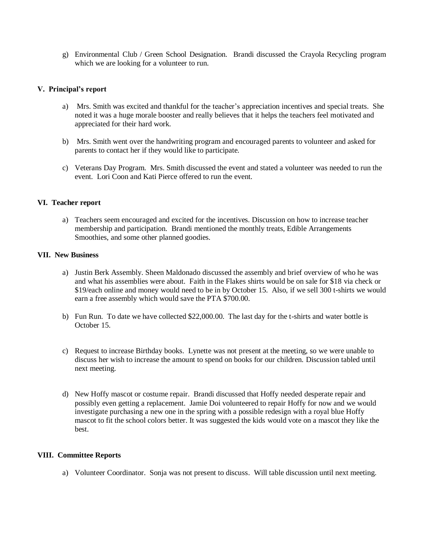g) Environmental Club / Green School Designation. Brandi discussed the Crayola Recycling program which we are looking for a volunteer to run.

## **V. Principal's report**

- a) Mrs. Smith was excited and thankful for the teacher's appreciation incentives and special treats. She noted it was a huge morale booster and really believes that it helps the teachers feel motivated and appreciated for their hard work.
- b) Mrs. Smith went over the handwriting program and encouraged parents to volunteer and asked for parents to contact her if they would like to participate.
- c) Veterans Day Program. Mrs. Smith discussed the event and stated a volunteer was needed to run the event. Lori Coon and Kati Pierce offered to run the event.

#### **VI. Teacher report**

a) Teachers seem encouraged and excited for the incentives. Discussion on how to increase teacher membership and participation. Brandi mentioned the monthly treats, Edible Arrangements Smoothies, and some other planned goodies.

#### **VII. New Business**

- a) Justin Berk Assembly. Sheen Maldonado discussed the assembly and brief overview of who he was and what his assemblies were about. Faith in the Flakes shirts would be on sale for \$18 via check or \$19/each online and money would need to be in by October 15. Also, if we sell 300 t-shirts we would earn a free assembly which would save the PTA \$700.00.
- b) Fun Run. To date we have collected \$22,000.00. The last day for the t-shirts and water bottle is October 15.
- c) Request to increase Birthday books. Lynette was not present at the meeting, so we were unable to discuss her wish to increase the amount to spend on books for our children. Discussion tabled until next meeting.
- d) New Hoffy mascot or costume repair. Brandi discussed that Hoffy needed desperate repair and possibly even getting a replacement. Jamie Doi volunteered to repair Hoffy for now and we would investigate purchasing a new one in the spring with a possible redesign with a royal blue Hoffy mascot to fit the school colors better. It was suggested the kids would vote on a mascot they like the best.

#### **VIII. Committee Reports**

a) Volunteer Coordinator. Sonja was not present to discuss. Will table discussion until next meeting.